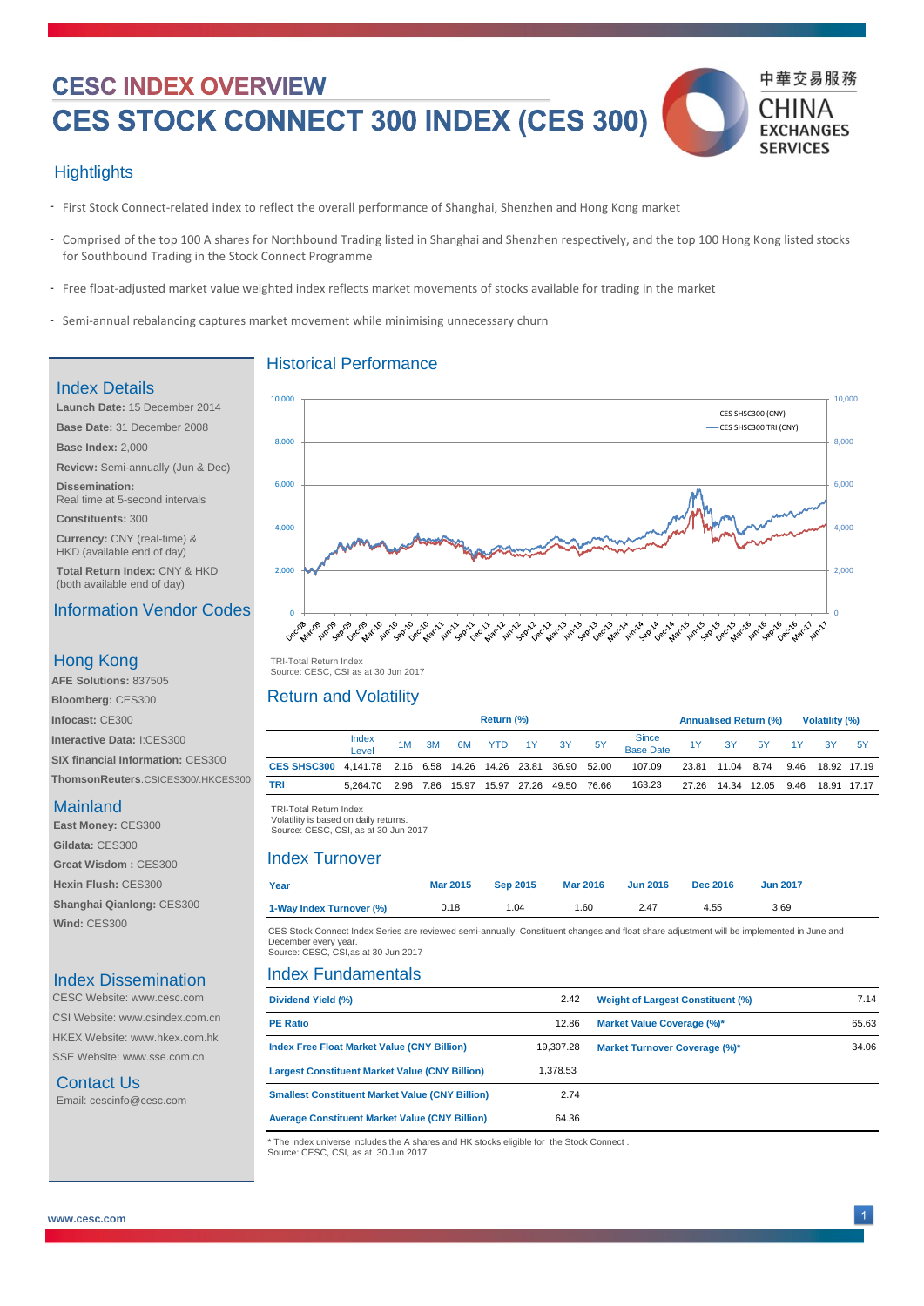#### 中華交易服務 **CESC INDEX OVERVIEW CES STOCK CONNECT 300 INDEX (CES 300)** CHINA **EXCHANGES SERVICES**

## **Hightlights**

- First Stock Connect-related index to reflect the overall performance of Shanghai, Shenzhen and Hong Kong market
- Comprised of the top 100 A shares for Northbound Trading listed in Shanghai and Shenzhen respectively, and the top 100 Hong Kong listed stocks for Southbound Trading in the Stock Connect Programme
- Free float-adjusted market value weighted index reflects market movements of stocks available for trading in the market
- Semi-annual rebalancing captures market movement while minimising unnecessary churn

#### Index Details

**Launch Date:** 15 December 2014 **Base Date:** 31 December 2008 **Base Index:** 2,000 **Review:** Semi-annually (Jun & Dec) **Dissemination:**  Real time at 5-second intervals **Constituents:** 300

**Currency:** CNY (real-time) & HKD (available end of day)

**Total Return Index:** CNY & HKD (both available end of day)

### Information Vendor Codes

#### Hong Kong

**AFE Solutions:** 837505 **Bloomberg:** CES300 **Infocast:** CE300 **Interactive Data:** I:CES300 **SIX financial Information:** CES300 **ThomsonReuters**.CSICES300/.HKCES300

#### **Mainland**

**East Money:** CES300 **Gildata:** CES300 **Great Wisdom :** CES300 **Hexin Flush:** CES300 **Shanghai Qianlong:** CES300 **Wind:** CES300

#### Index Dissemination

CESC Website: www.cesc.com CSI Website: www.csindex.com.cn HKEX Website: www.hkex.com.hk SSE Website: www.sse.com.cn

#### Contact Us

Email: cescinfo@cesc.com

# Historical Performance



 TRI -Total Return Index TRI-Total Return Index Source: CESC, CSI as at 30 Jun 2017

#### Return and Volatility

|                                                              | Return (%)     |    |    |    |        |  |                                         |    | <b>Annualised Return (%)</b> |       |                  |             | <b>Volatility (%)</b> |                  |      |
|--------------------------------------------------------------|----------------|----|----|----|--------|--|-----------------------------------------|----|------------------------------|-------|------------------|-------------|-----------------------|------------------|------|
|                                                              | Index<br>Level | 1M | 3M | 6M | YTD 1Y |  | 3Y                                      | 5Y | Since<br>Base Date           | 1Y    | 3Y               |             | 5Y 1Y                 | - 3Y             | - 5Y |
| CES SHSC300 4,141.78 2.16 6.58 14.26 14.26 23.81 36.90 52.00 |                |    |    |    |        |  |                                         |    | 107.09                       |       | 23.81 11.04 8.74 |             |                       | 9.46 18.92 17.19 |      |
| TRI                                                          | 5.264.70       |    |    |    |        |  | 2.96 7.86 15.97 15.97 27.26 49.50 76.66 |    | 163.23                       | 27.26 |                  | 14.34 12.05 | 9.46                  | 18.91 17.17      |      |

TRI -Total Return Index TRI-Total Return Index

 Volatility is based on daily returns. Volatility is based on daily returns. Source: CESC, CSI, as at 30 Jun 2017

#### Index Turnover

| Year                     | <b>Mar 2015</b> | <b>Sep 2015</b> | Mar 2016 Jun 2016 |      | <b>Dec 2016</b> | <b>Jun 2017</b> |
|--------------------------|-----------------|-----------------|-------------------|------|-----------------|-----------------|
| 1-Way Index Turnover (%) | 0.18            | 1.04            | 1.60              | 2.47 | 4.55            | 3.69            |

CES Stock Connect Index Series are reviewed semi-annually. Constituent changes and float share adjustment will be implemented in June and December every year. Source: CESC, CSI,as at 30 Jun 2017

#### Index Fundamentals

| Dividend Yield (%)                                     | 2.42      | <b>Weight of Largest Constituent (%)</b> | 7.14  |
|--------------------------------------------------------|-----------|------------------------------------------|-------|
| <b>PE Ratio</b>                                        | 12.86     | Market Value Coverage (%)*               | 65.63 |
| Index Free Float Market Value (CNY Billion)            | 19.307.28 | Market Turnover Coverage (%)*            | 34.06 |
| <b>Largest Constituent Market Value (CNY Billion)</b>  | 1.378.53  |                                          |       |
| <b>Smallest Constituent Market Value (CNY Billion)</b> | 2.74      |                                          |       |
| <b>Average Constituent Market Value (CNY Billion)</b>  | 64.36     |                                          |       |

\* The index universe includes the A shares and HK stocks eligible for the Stock Connect . Source: CESC, CSI, as at 30 Jun 2017